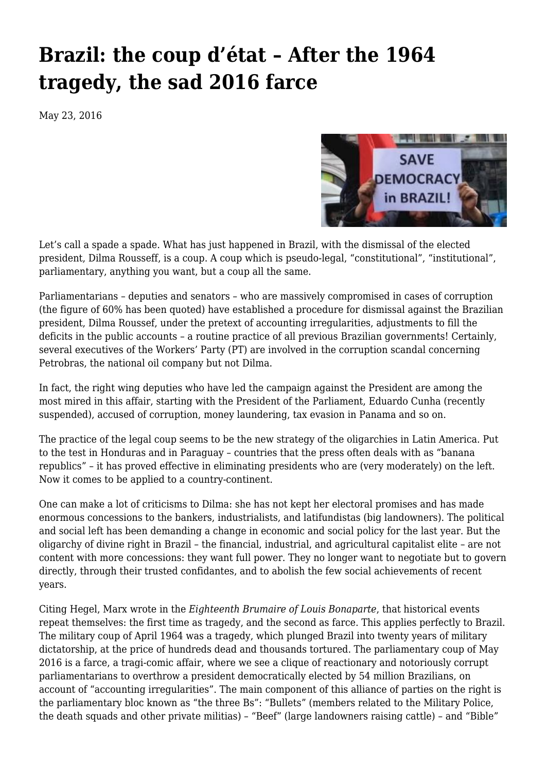## **[Brazil: the coup d'état – After the 1964](https://newpol.org/brazil-coup-d%c3%a9tat-after-1964-tragedy-sad-2016-farce/) [tragedy, the sad 2016 farce](https://newpol.org/brazil-coup-d%c3%a9tat-after-1964-tragedy-sad-2016-farce/)**

May 23, 2016



Let's call a spade a spade. What has just happened in Brazil, with the dismissal of the elected president, Dilma Rousseff, is a coup. A coup which is pseudo-legal, "constitutional", "institutional", parliamentary, anything you want, but a coup all the same.

Parliamentarians – deputies and senators – who are massively compromised in cases of corruption (the figure of 60% has been quoted) have established a procedure for dismissal against the Brazilian president, Dilma Roussef, under the pretext of accounting irregularities, adjustments to fill the deficits in the public accounts – a routine practice of all previous Brazilian governments! Certainly, several executives of the Workers' Party (PT) are involved in the corruption scandal concerning Petrobras, the national oil company but not Dilma.

In fact, the right wing deputies who have led the campaign against the President are among the most mired in this affair, starting with the President of the Parliament, Eduardo Cunha (recently suspended), accused of corruption, money laundering, tax evasion in Panama and so on.

The practice of the legal coup seems to be the new strategy of the oligarchies in Latin America. Put to the test in Honduras and in Paraguay – countries that the press often deals with as "banana republics" – it has proved effective in eliminating presidents who are (very moderately) on the left. Now it comes to be applied to a country-continent.

One can make a lot of criticisms to Dilma: she has not kept her electoral promises and has made enormous concessions to the bankers, industrialists, and latifundistas (big landowners). The political and social left has been demanding a change in economic and social policy for the last year. But the oligarchy of divine right in Brazil – the financial, industrial, and agricultural capitalist elite – are not content with more concessions: they want full power. They no longer want to negotiate but to govern directly, through their trusted confidantes, and to abolish the few social achievements of recent years.

Citing Hegel, Marx wrote in the *Eighteenth Brumaire of Louis Bonaparte*, that historical events repeat themselves: the first time as tragedy, and the second as farce. This applies perfectly to Brazil. The military coup of April 1964 was a tragedy, which plunged Brazil into twenty years of military dictatorship, at the price of hundreds dead and thousands tortured. The parliamentary coup of May 2016 is a farce, a tragi-comic affair, where we see a clique of reactionary and notoriously corrupt parliamentarians to overthrow a president democratically elected by 54 million Brazilians, on account of "accounting irregularities". The main component of this alliance of parties on the right is the parliamentary bloc known as "the three Bs": "Bullets" (members related to the Military Police, the death squads and other private militias) – "Beef" (large landowners raising cattle) – and "Bible"